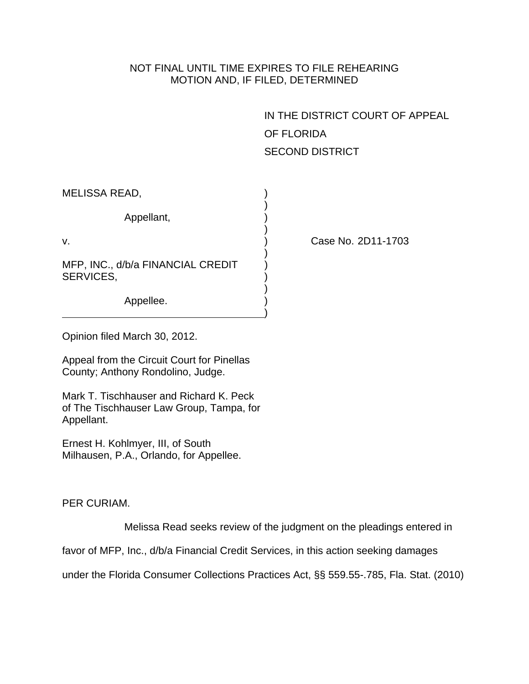## NOT FINAL UNTIL TIME EXPIRES TO FILE REHEARING MOTION AND, IF FILED, DETERMINED

IN THE DISTRICT COURT OF APPEAL OF FLORIDA SECOND DISTRICT

| MELISSA READ,                                  |  |
|------------------------------------------------|--|
| Appellant,                                     |  |
| v.                                             |  |
| MFP, INC., d/b/a FINANCIAL CREDIT<br>SERVICES, |  |
| Appellee.                                      |  |

Case No. 2D11-1703

Opinion filed March 30, 2012.

Appeal from the Circuit Court for Pinellas County; Anthony Rondolino, Judge.

Mark T. Tischhauser and Richard K. Peck of The Tischhauser Law Group, Tampa, for Appellant.

Ernest H. Kohlmyer, III, of South Milhausen, P.A., Orlando, for Appellee.

## PER CURIAM.

Melissa Read seeks review of the judgment on the pleadings entered in

favor of MFP, Inc., d/b/a Financial Credit Services, in this action seeking damages

under the Florida Consumer Collections Practices Act, §§ 559.55-.785, Fla. Stat. (2010)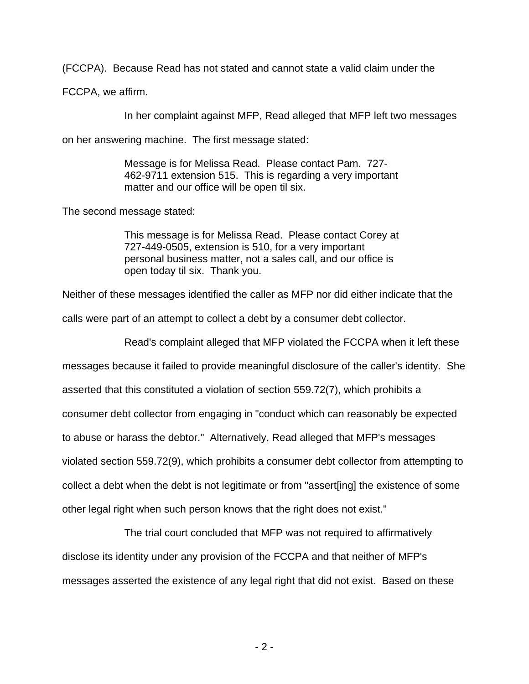(FCCPA). Because Read has not stated and cannot state a valid claim under the

FCCPA, we affirm.

In her complaint against MFP, Read alleged that MFP left two messages

on her answering machine. The first message stated:

Message is for Melissa Read. Please contact Pam. 727- 462-9711 extension 515. This is regarding a very important matter and our office will be open til six.

The second message stated:

This message is for Melissa Read. Please contact Corey at 727-449-0505, extension is 510, for a very important personal business matter, not a sales call, and our office is open today til six. Thank you.

Neither of these messages identified the caller as MFP nor did either indicate that the

calls were part of an attempt to collect a debt by a consumer debt collector.

Read's complaint alleged that MFP violated the FCCPA when it left these

messages because it failed to provide meaningful disclosure of the caller's identity. She asserted that this constituted a violation of section 559.72(7), which prohibits a consumer debt collector from engaging in "conduct which can reasonably be expected to abuse or harass the debtor." Alternatively, Read alleged that MFP's messages violated section 559.72(9), which prohibits a consumer debt collector from attempting to collect a debt when the debt is not legitimate or from "assert[ing] the existence of some other legal right when such person knows that the right does not exist."

 The trial court concluded that MFP was not required to affirmatively disclose its identity under any provision of the FCCPA and that neither of MFP's messages asserted the existence of any legal right that did not exist. Based on these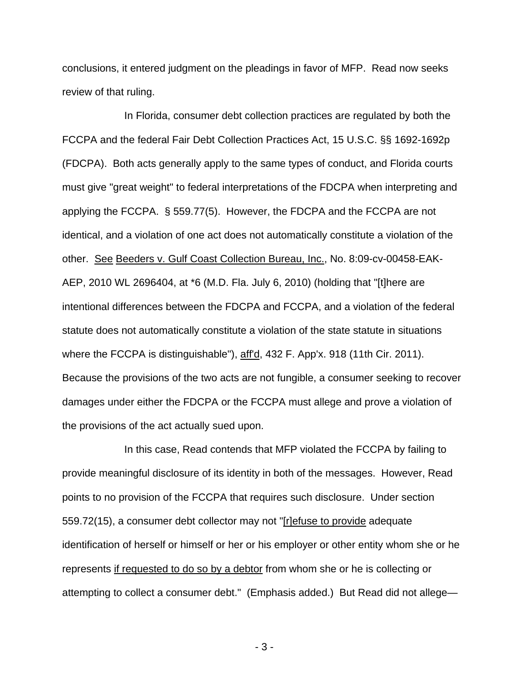conclusions, it entered judgment on the pleadings in favor of MFP. Read now seeks review of that ruling.

 In Florida, consumer debt collection practices are regulated by both the FCCPA and the federal Fair Debt Collection Practices Act, 15 U.S.C. §§ 1692-1692p (FDCPA). Both acts generally apply to the same types of conduct, and Florida courts must give "great weight" to federal interpretations of the FDCPA when interpreting and applying the FCCPA. § 559.77(5). However, the FDCPA and the FCCPA are not identical, and a violation of one act does not automatically constitute a violation of the other. See Beeders v. Gulf Coast Collection Bureau, Inc., No. 8:09-cv-00458-EAK-AEP, 2010 WL 2696404, at \*6 (M.D. Fla. July 6, 2010) (holding that "[t]here are intentional differences between the FDCPA and FCCPA, and a violation of the federal statute does not automatically constitute a violation of the state statute in situations where the FCCPA is distinguishable"), aff'd, 432 F. App'x. 918 (11th Cir. 2011). Because the provisions of the two acts are not fungible, a consumer seeking to recover damages under either the FDCPA or the FCCPA must allege and prove a violation of the provisions of the act actually sued upon.

 In this case, Read contends that MFP violated the FCCPA by failing to provide meaningful disclosure of its identity in both of the messages. However, Read points to no provision of the FCCPA that requires such disclosure. Under section 559.72(15), a consumer debt collector may not "[r]efuse to provide adequate identification of herself or himself or her or his employer or other entity whom she or he represents if requested to do so by a debtor from whom she or he is collecting or attempting to collect a consumer debt." (Emphasis added.) But Read did not allege—

- 3 -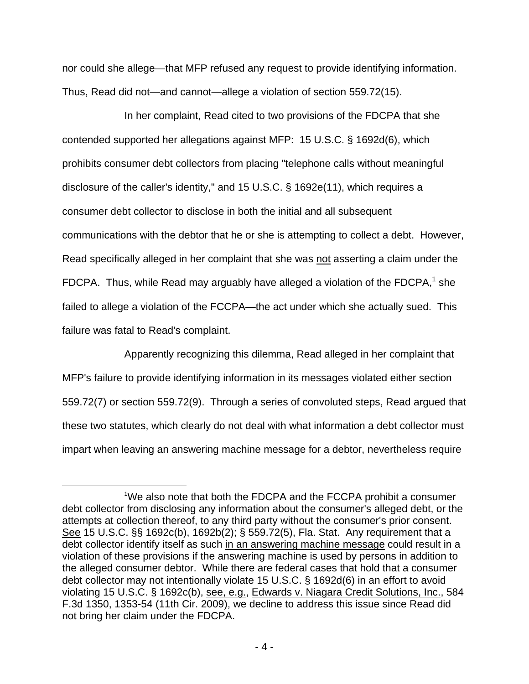nor could she allege—that MFP refused any request to provide identifying information. Thus, Read did not—and cannot—allege a violation of section 559.72(15).

 In her complaint, Read cited to two provisions of the FDCPA that she contended supported her allegations against MFP: 15 U.S.C. § 1692d(6), which prohibits consumer debt collectors from placing "telephone calls without meaningful disclosure of the caller's identity," and 15 U.S.C. § 1692e(11), which requires a consumer debt collector to disclose in both the initial and all subsequent communications with the debtor that he or she is attempting to collect a debt. However, Read specifically alleged in her complaint that she was not asserting a claim under the FDCPA. Thus, while Read may arguably have alleged a violation of the FDCPA, $1$  she failed to allege a violation of the FCCPA—the act under which she actually sued. This failure was fatal to Read's complaint.

 Apparently recognizing this dilemma, Read alleged in her complaint that MFP's failure to provide identifying information in its messages violated either section 559.72(7) or section 559.72(9). Through a series of convoluted steps, Read argued that these two statutes, which clearly do not deal with what information a debt collector must impart when leaving an answering machine message for a debtor, nevertheless require

<u>.</u>

 $\sim$  1 We also note that both the FDCPA and the FCCPA prohibit a consumer debt collector from disclosing any information about the consumer's alleged debt, or the attempts at collection thereof, to any third party without the consumer's prior consent. See 15 U.S.C. §§ 1692c(b), 1692b(2); § 559.72(5), Fla. Stat. Any requirement that a debt collector identify itself as such in an answering machine message could result in a violation of these provisions if the answering machine is used by persons in addition to the alleged consumer debtor. While there are federal cases that hold that a consumer debt collector may not intentionally violate 15 U.S.C. § 1692d(6) in an effort to avoid violating 15 U.S.C. § 1692c(b), see, e.g., Edwards v. Niagara Credit Solutions, Inc., 584 F.3d 1350, 1353-54 (11th Cir. 2009), we decline to address this issue since Read did not bring her claim under the FDCPA.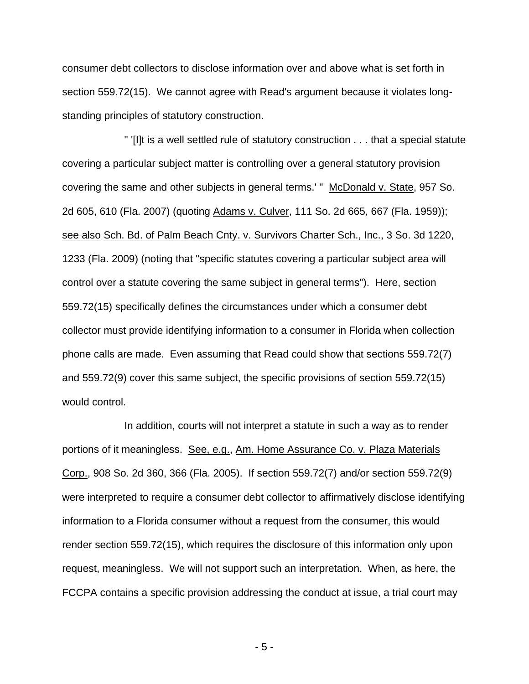consumer debt collectors to disclose information over and above what is set forth in section 559.72(15). We cannot agree with Read's argument because it violates longstanding principles of statutory construction.

 " '[I]t is a well settled rule of statutory construction . . . that a special statute covering a particular subject matter is controlling over a general statutory provision covering the same and other subjects in general terms.' " McDonald v. State, 957 So. 2d 605, 610 (Fla. 2007) (quoting Adams v. Culver, 111 So. 2d 665, 667 (Fla. 1959)); see also Sch. Bd. of Palm Beach Cnty. v. Survivors Charter Sch., Inc., 3 So. 3d 1220, 1233 (Fla. 2009) (noting that "specific statutes covering a particular subject area will control over a statute covering the same subject in general terms"). Here, section 559.72(15) specifically defines the circumstances under which a consumer debt collector must provide identifying information to a consumer in Florida when collection phone calls are made. Even assuming that Read could show that sections 559.72(7) and 559.72(9) cover this same subject, the specific provisions of section 559.72(15) would control.

 In addition, courts will not interpret a statute in such a way as to render portions of it meaningless. See, e.g., Am. Home Assurance Co. v. Plaza Materials Corp., 908 So. 2d 360, 366 (Fla. 2005). If section 559.72(7) and/or section 559.72(9) were interpreted to require a consumer debt collector to affirmatively disclose identifying information to a Florida consumer without a request from the consumer, this would render section 559.72(15), which requires the disclosure of this information only upon request, meaningless. We will not support such an interpretation. When, as here, the FCCPA contains a specific provision addressing the conduct at issue, a trial court may

- 5 -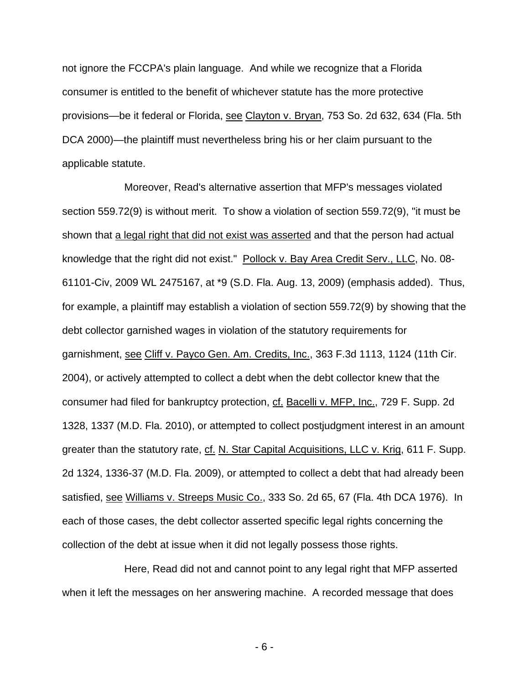not ignore the FCCPA's plain language. And while we recognize that a Florida consumer is entitled to the benefit of whichever statute has the more protective provisions—be it federal or Florida, see Clayton v. Bryan, 753 So. 2d 632, 634 (Fla. 5th DCA 2000)—the plaintiff must nevertheless bring his or her claim pursuant to the applicable statute.

 Moreover, Read's alternative assertion that MFP's messages violated section 559.72(9) is without merit. To show a violation of section 559.72(9), "it must be shown that a legal right that did not exist was asserted and that the person had actual knowledge that the right did not exist." Pollock v. Bay Area Credit Serv., LLC, No. 08- 61101-Civ, 2009 WL 2475167, at \*9 (S.D. Fla. Aug. 13, 2009) (emphasis added). Thus, for example, a plaintiff may establish a violation of section 559.72(9) by showing that the debt collector garnished wages in violation of the statutory requirements for garnishment, see Cliff v. Payco Gen. Am. Credits, Inc., 363 F.3d 1113, 1124 (11th Cir. 2004), or actively attempted to collect a debt when the debt collector knew that the consumer had filed for bankruptcy protection, cf. Bacelli v. MFP, Inc., 729 F. Supp. 2d 1328, 1337 (M.D. Fla. 2010), or attempted to collect postjudgment interest in an amount greater than the statutory rate, cf. N. Star Capital Acquisitions, LLC v. Krig, 611 F. Supp. 2d 1324, 1336-37 (M.D. Fla. 2009), or attempted to collect a debt that had already been satisfied, see Williams v. Streeps Music Co., 333 So. 2d 65, 67 (Fla. 4th DCA 1976). In each of those cases, the debt collector asserted specific legal rights concerning the collection of the debt at issue when it did not legally possess those rights.

 Here, Read did not and cannot point to any legal right that MFP asserted when it left the messages on her answering machine. A recorded message that does

- 6 -